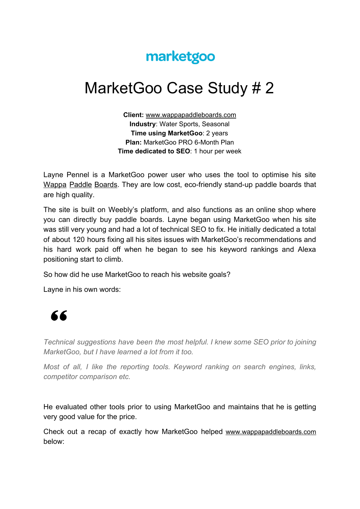## marketgoo

## MarketGoo Case Study # 2

**Client:** [www.wappapaddleboards.com](http://www.wappapaddleboards.com/) **Industry**: Water Sports, Seasonal **Time using MarketGoo**: 2 years **Plan:** MarketGoo PRO 6-Month Plan **Time dedicated to SEO**: 1 hour per week

Layne Pennel is a MarketGoo power user who uses the tool to optimise his site [Wappa](http://www.wappapaddleboards.com/) Paddle Boards. They are low cost, eco-friendly stand-up paddle boards that are high quality.

The site is built on Weebly's platform, and also functions as an online shop where you can directly buy paddle boards. Layne began using MarketGoo when his site was still very young and had a lot of technical SEO to fix. He initially dedicated a total of about 120 hours fixing all his sites issues with MarketGoo's recommendations and his hard work paid off when he began to see his keyword rankings and Alexa positioning start to climb.

So how did he use MarketGoo to reach his website goals?

Layne in his own words:



*Technical suggestions have been the most helpful. I knew some SEO prior to joining MarketGoo, but I have learned a lot from it too.*

*Most of all, I like the reporting tools. Keyword ranking on search engines, links, competitor comparison etc.*

He evaluated other tools prior to using MarketGoo and maintains that he is getting very good value for the price.

Check out a recap of exactly how MarketGoo helped [www.wappapaddleboards.com](http://www.wappapaddleboards.com/) below: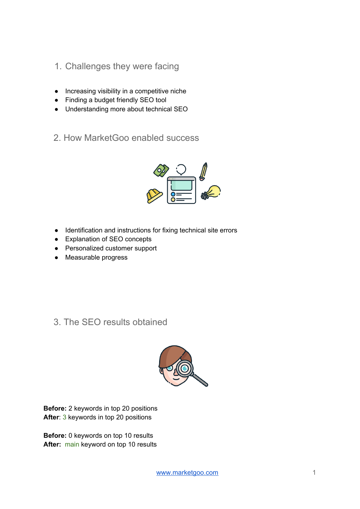- 1. Challenges they were facing
- Increasing visibility in a competitive niche
- Finding a budget friendly SEO tool
- Understanding more about technical SEO
- 2. How MarketGoo enabled success



- Identification and instructions for fixing technical site errors
- Explanation of SEO concepts
- Personalized customer support
- Measurable progress

3. The SEO results obtained



**Before:** 2 keywords in top 20 positions **After**: 3 keywords in top 20 positions

**Before:** 0 keywords on top 10 results **After:** main keyword on top 10 results